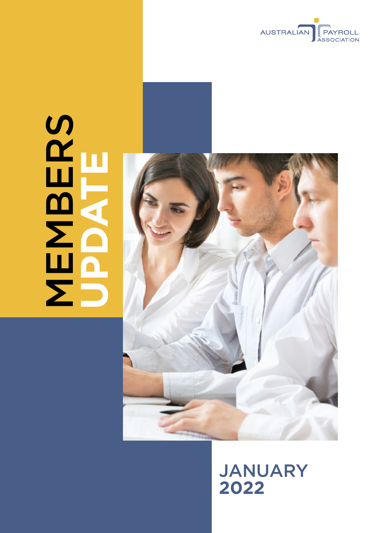

# **MBERS UPDATE**



JANUARY **2022**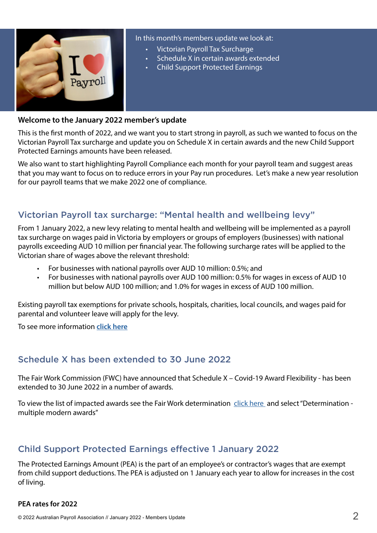

In this month's members update we look at:

- Victorian Payroll Tax Surcharge
- Schedule X in certain awards extended
- Child Support Protected Earnings

#### **Welcome to the January 2022 member's update**

This is the first month of 2022, and we want you to start strong in payroll, as such we wanted to focus on the Victorian Payroll Tax surcharge and update you on Schedule X in certain awards and the new Child Support Protected Earnings amounts have been released.

We also want to start highlighting Payroll Compliance each month for your payroll team and suggest areas that you may want to focus on to reduce errors in your Pay run procedures. Let's make a new year resolution for our payroll teams that we make 2022 one of compliance.

# Victorian Payroll tax surcharge: "Mental health and wellbeing levy"

From 1 January 2022, a new levy relating to mental health and wellbeing will be implemented as a payroll tax surcharge on wages paid in Victoria by employers or groups of employers (businesses) with national payrolls exceeding AUD 10 million per financial year. The following surcharge rates will be applied to the Victorian share of wages above the relevant threshold:

- For businesses with national payrolls over AUD 10 million: 0.5%; and
- For businesses with national payrolls over AUD 100 million: 0.5% for wages in excess of AUD 10 million but below AUD 100 million; and 1.0% for wages in excess of AUD 100 million.

Existing payroll tax exemptions for private schools, hospitals, charities, local councils, and wages paid for parental and volunteer leave will apply for the levy.

To see more information **[click here](https://www.sro.vic.gov.au/mentalhealthsurcharge)**

## Schedule X has been extended to 30 June 2022

The Fair Work Commission (FWC) have announced that Schedule X – Covid-19 Award Flexibility - has been extended to 30 June 2022 in a number of awards.

To view the list of impacted awards see the Fair Work determination [click here](https://www.fwc.gov.au/awards-and-agreements/awards/award-modernisation/variation-applications/AM2021/86?type=variation&utm_medium=email&utm_campaign=Award%20matters%20-%20Modern%20awards&utm_content=Award%20matters%20-%20Modern%20awards+CID_0abdfea63b4c3a4b2014336d00abf694&utm_source=campaign%20monitor&utm_term=AM202186%20-%20COVID-19%20Award%20Flexibility%20-%20Schedule%20X) and select "Determination multiple modern awards"

## Child Support Protected Earnings effective 1 January 2022

The Protected Earnings Amount (PEA) is the part of an employee's or contractor's wages that are exempt from child support deductions. The PEA is adjusted on 1 January each year to allow for increases in the cost of living.

#### **PEA rates for 2022**